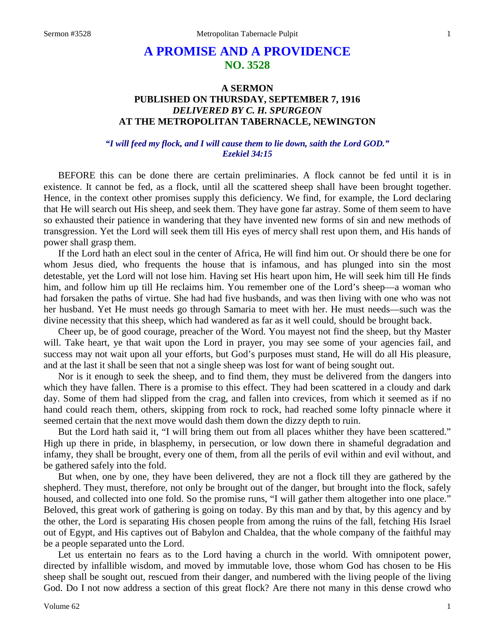# **A PROMISE AND A PROVIDENCE NO. 3528**

# **A SERMON PUBLISHED ON THURSDAY, SEPTEMBER 7, 1916** *DELIVERED BY C. H. SPURGEON* **AT THE METROPOLITAN TABERNACLE, NEWINGTON**

### *"I will feed my flock, and I will cause them to lie down, saith the Lord GOD." Ezekiel 34:15*

BEFORE this can be done there are certain preliminaries. A flock cannot be fed until it is in existence. It cannot be fed, as a flock, until all the scattered sheep shall have been brought together. Hence, in the context other promises supply this deficiency. We find, for example, the Lord declaring that He will search out His sheep, and seek them. They have gone far astray. Some of them seem to have so exhausted their patience in wandering that they have invented new forms of sin and new methods of transgression. Yet the Lord will seek them till His eyes of mercy shall rest upon them, and His hands of power shall grasp them.

If the Lord hath an elect soul in the center of Africa, He will find him out. Or should there be one for whom Jesus died, who frequents the house that is infamous, and has plunged into sin the most detestable, yet the Lord will not lose him. Having set His heart upon him, He will seek him till He finds him, and follow him up till He reclaims him. You remember one of the Lord's sheep—a woman who had forsaken the paths of virtue. She had had five husbands, and was then living with one who was not her husband. Yet He must needs go through Samaria to meet with her. He must needs—such was the divine necessity that this sheep, which had wandered as far as it well could, should be brought back.

Cheer up, be of good courage, preacher of the Word. You mayest not find the sheep, but thy Master will. Take heart, ye that wait upon the Lord in prayer, you may see some of your agencies fail, and success may not wait upon all your efforts, but God's purposes must stand, He will do all His pleasure, and at the last it shall be seen that not a single sheep was lost for want of being sought out.

Nor is it enough to seek the sheep, and to find them, they must be delivered from the dangers into which they have fallen. There is a promise to this effect. They had been scattered in a cloudy and dark day. Some of them had slipped from the crag, and fallen into crevices, from which it seemed as if no hand could reach them, others, skipping from rock to rock, had reached some lofty pinnacle where it seemed certain that the next move would dash them down the dizzy depth to ruin.

But the Lord hath said it, "I will bring them out from all places whither they have been scattered." High up there in pride, in blasphemy, in persecution, or low down there in shameful degradation and infamy, they shall be brought, every one of them, from all the perils of evil within and evil without, and be gathered safely into the fold.

But when, one by one, they have been delivered, they are not a flock till they are gathered by the shepherd. They must, therefore, not only be brought out of the danger, but brought into the flock, safely housed, and collected into one fold. So the promise runs, "I will gather them altogether into one place." Beloved, this great work of gathering is going on today. By this man and by that, by this agency and by the other, the Lord is separating His chosen people from among the ruins of the fall, fetching His Israel out of Egypt, and His captives out of Babylon and Chaldea, that the whole company of the faithful may be a people separated unto the Lord.

Let us entertain no fears as to the Lord having a church in the world. With omnipotent power, directed by infallible wisdom, and moved by immutable love, those whom God has chosen to be His sheep shall be sought out, rescued from their danger, and numbered with the living people of the living God. Do I not now address a section of this great flock? Are there not many in this dense crowd who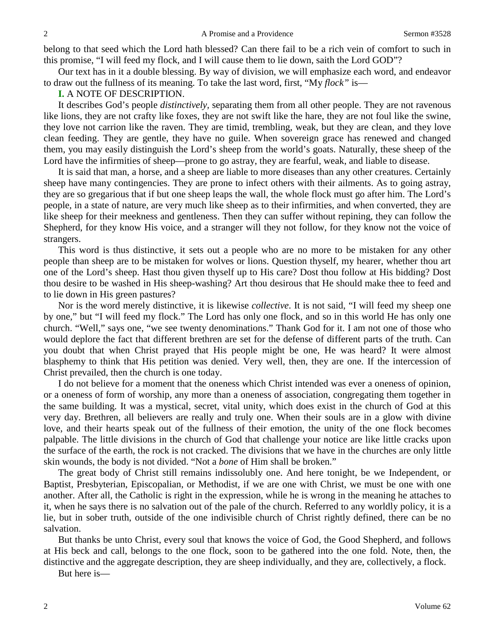belong to that seed which the Lord hath blessed? Can there fail to be a rich vein of comfort to such in this promise, "I will feed my flock, and I will cause them to lie down, saith the Lord GOD"?

Our text has in it a double blessing. By way of division, we will emphasize each word, and endeavor to draw out the fullness of its meaning. To take the last word, first, "My *flock"* is—

#### **I.** A NOTE OF DESCRIPTION.

It describes God's people *distinctively,* separating them from all other people. They are not ravenous like lions, they are not crafty like foxes, they are not swift like the hare, they are not foul like the swine, they love not carrion like the raven. They are timid, trembling, weak, but they are clean, and they love clean feeding. They are gentle, they have no guile. When sovereign grace has renewed and changed them, you may easily distinguish the Lord's sheep from the world's goats. Naturally, these sheep of the Lord have the infirmities of sheep—prone to go astray, they are fearful, weak, and liable to disease.

It is said that man, a horse, and a sheep are liable to more diseases than any other creatures. Certainly sheep have many contingencies. They are prone to infect others with their ailments. As to going astray, they are so gregarious that if but one sheep leaps the wall, the whole flock must go after him. The Lord's people, in a state of nature, are very much like sheep as to their infirmities, and when converted, they are like sheep for their meekness and gentleness. Then they can suffer without repining, they can follow the Shepherd, for they know His voice, and a stranger will they not follow, for they know not the voice of strangers.

This word is thus distinctive, it sets out a people who are no more to be mistaken for any other people than sheep are to be mistaken for wolves or lions. Question thyself, my hearer, whether thou art one of the Lord's sheep. Hast thou given thyself up to His care? Dost thou follow at His bidding? Dost thou desire to be washed in His sheep-washing? Art thou desirous that He should make thee to feed and to lie down in His green pastures?

Nor is the word merely distinctive, it is likewise *collective*. It is not said, "I will feed my sheep one by one," but "I will feed my flock." The Lord has only one flock, and so in this world He has only one church. "Well," says one, "we see twenty denominations." Thank God for it. I am not one of those who would deplore the fact that different brethren are set for the defense of different parts of the truth. Can you doubt that when Christ prayed that His people might be one, He was heard? It were almost blasphemy to think that His petition was denied. Very well, then, they are one. If the intercession of Christ prevailed, then the church is one today.

I do not believe for a moment that the oneness which Christ intended was ever a oneness of opinion, or a oneness of form of worship, any more than a oneness of association, congregating them together in the same building. It was a mystical, secret, vital unity, which does exist in the church of God at this very day. Brethren, all believers are really and truly one. When their souls are in a glow with divine love, and their hearts speak out of the fullness of their emotion, the unity of the one flock becomes palpable. The little divisions in the church of God that challenge your notice are like little cracks upon the surface of the earth, the rock is not cracked. The divisions that we have in the churches are only little skin wounds, the body is not divided. "Not a *bone* of Him shall be broken."

The great body of Christ still remains indissolubly one. And here tonight, be we Independent, or Baptist, Presbyterian, Episcopalian, or Methodist, if we are one with Christ, we must be one with one another. After all, the Catholic is right in the expression, while he is wrong in the meaning he attaches to it, when he says there is no salvation out of the pale of the church. Referred to any worldly policy, it is a lie, but in sober truth, outside of the one indivisible church of Christ rightly defined, there can be no salvation.

But thanks be unto Christ, every soul that knows the voice of God, the Good Shepherd, and follows at His beck and call, belongs to the one flock, soon to be gathered into the one fold. Note, then, the distinctive and the aggregate description, they are sheep individually, and they are, collectively, a flock.

But here is—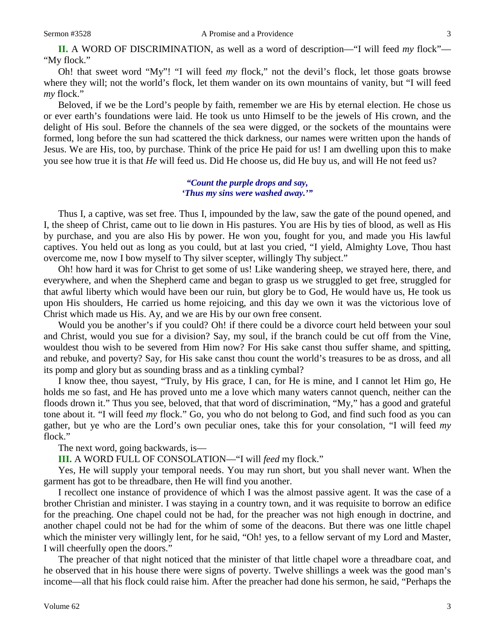Oh! that sweet word "My"! "I will feed *my* flock," not the devil's flock, let those goats browse where they will; not the world's flock, let them wander on its own mountains of vanity, but "I will feed *my* flock."

Beloved, if we be the Lord's people by faith, remember we are His by eternal election. He chose us or ever earth's foundations were laid. He took us unto Himself to be the jewels of His crown, and the delight of His soul. Before the channels of the sea were digged, or the sockets of the mountains were formed, long before the sun had scattered the thick darkness, our names were written upon the hands of Jesus. We are His, too, by purchase. Think of the price He paid for us! I am dwelling upon this to make you see how true it is that *He* will feed us. Did He choose us, did He buy us, and will He not feed us?

#### *"Count the purple drops and say, 'Thus my sins were washed away.'"*

Thus I, a captive, was set free. Thus I, impounded by the law, saw the gate of the pound opened, and I, the sheep of Christ, came out to lie down in His pastures. You are His by ties of blood, as well as His by purchase, and you are also His by power. He won you, fought for you, and made you His lawful captives. You held out as long as you could, but at last you cried, "I yield, Almighty Love, Thou hast overcome me, now I bow myself to Thy silver scepter, willingly Thy subject."

Oh! how hard it was for Christ to get some of us! Like wandering sheep, we strayed here, there, and everywhere, and when the Shepherd came and began to grasp us we struggled to get free, struggled for that awful liberty which would have been our ruin, but glory be to God, He would have us, He took us upon His shoulders, He carried us home rejoicing, and this day we own it was the victorious love of Christ which made us His. Ay, and we are His by our own free consent.

Would you be another's if you could? Oh! if there could be a divorce court held between your soul and Christ, would you sue for a division? Say, my soul, if the branch could be cut off from the Vine, wouldest thou wish to be severed from Him now? For His sake canst thou suffer shame, and spitting, and rebuke, and poverty? Say, for His sake canst thou count the world's treasures to be as dross, and all its pomp and glory but as sounding brass and as a tinkling cymbal?

I know thee, thou sayest, "Truly, by His grace, I can, for He is mine, and I cannot let Him go, He holds me so fast, and He has proved unto me a love which many waters cannot quench, neither can the floods drown it." Thus you see, beloved, that that word of discrimination, "My," has a good and grateful tone about it. "I will feed *my* flock." Go, you who do not belong to God, and find such food as you can gather, but ye who are the Lord's own peculiar ones, take this for your consolation, "I will feed *my* flock."

The next word, going backwards, is—

**III.** A WORD FULL OF CONSOLATION—"I will *feed* my flock."

Yes, He will supply your temporal needs. You may run short, but you shall never want. When the garment has got to be threadbare, then He will find you another.

I recollect one instance of providence of which I was the almost passive agent. It was the case of a brother Christian and minister. I was staying in a country town, and it was requisite to borrow an edifice for the preaching. One chapel could not be had, for the preacher was not high enough in doctrine, and another chapel could not be had for the whim of some of the deacons. But there was one little chapel which the minister very willingly lent, for he said, "Oh! yes, to a fellow servant of my Lord and Master, I will cheerfully open the doors."

The preacher of that night noticed that the minister of that little chapel wore a threadbare coat, and he observed that in his house there were signs of poverty. Twelve shillings a week was the good man's income—all that his flock could raise him. After the preacher had done his sermon, he said, "Perhaps the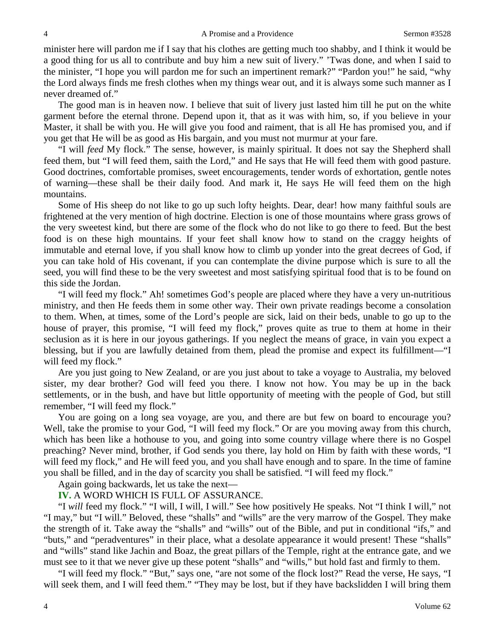minister here will pardon me if I say that his clothes are getting much too shabby, and I think it would be a good thing for us all to contribute and buy him a new suit of livery." 'Twas done, and when I said to the minister, "I hope you will pardon me for such an impertinent remark?" "Pardon you!" he said, "why the Lord always finds me fresh clothes when my things wear out, and it is always some such manner as I never dreamed of."

The good man is in heaven now. I believe that suit of livery just lasted him till he put on the white garment before the eternal throne. Depend upon it, that as it was with him, so, if you believe in your Master, it shall be with you. He will give you food and raiment, that is all He has promised you, and if you get that He will be as good as His bargain, and you must not murmur at your fare.

"I will *feed* My flock." The sense, however, is mainly spiritual. It does not say the Shepherd shall feed them, but "I will feed them, saith the Lord," and He says that He will feed them with good pasture. Good doctrines, comfortable promises, sweet encouragements, tender words of exhortation, gentle notes of warning—these shall be their daily food. And mark it, He says He will feed them on the high mountains.

Some of His sheep do not like to go up such lofty heights. Dear, dear! how many faithful souls are frightened at the very mention of high doctrine. Election is one of those mountains where grass grows of the very sweetest kind, but there are some of the flock who do not like to go there to feed. But the best food is on these high mountains. If your feet shall know how to stand on the craggy heights of immutable and eternal love, if you shall know how to climb up yonder into the great decrees of God, if you can take hold of His covenant, if you can contemplate the divine purpose which is sure to all the seed, you will find these to be the very sweetest and most satisfying spiritual food that is to be found on this side the Jordan.

"I will feed my flock." Ah! sometimes God's people are placed where they have a very un-nutritious ministry, and then He feeds them in some other way. Their own private readings become a consolation to them. When, at times, some of the Lord's people are sick, laid on their beds, unable to go up to the house of prayer, this promise, "I will feed my flock," proves quite as true to them at home in their seclusion as it is here in our joyous gatherings. If you neglect the means of grace, in vain you expect a blessing, but if you are lawfully detained from them, plead the promise and expect its fulfillment—"I will feed my flock."

Are you just going to New Zealand, or are you just about to take a voyage to Australia, my beloved sister, my dear brother? God will feed you there. I know not how. You may be up in the back settlements, or in the bush, and have but little opportunity of meeting with the people of God, but still remember, "I will feed my flock."

You are going on a long sea voyage, are you, and there are but few on board to encourage you? Well, take the promise to your God, "I will feed my flock." Or are you moving away from this church, which has been like a hothouse to you, and going into some country village where there is no Gospel preaching? Never mind, brother, if God sends you there, lay hold on Him by faith with these words, "I will feed my flock," and He will feed you, and you shall have enough and to spare. In the time of famine you shall be filled, and in the day of scarcity you shall be satisfied. "I will feed my flock."

Again going backwards, let us take the next—

#### **IV.** A WORD WHICH IS FULL OF ASSURANCE.

"I *will* feed my flock." "I will, I will, I will." See how positively He speaks. Not "I think I will," not "I may," but "I will." Beloved, these "shalls" and "wills" are the very marrow of the Gospel. They make the strength of it. Take away the "shalls" and "wills" out of the Bible, and put in conditional "ifs," and "buts," and "peradventures" in their place, what a desolate appearance it would present! These "shalls" and "wills" stand like Jachin and Boaz, the great pillars of the Temple, right at the entrance gate, and we must see to it that we never give up these potent "shalls" and "wills," but hold fast and firmly to them.

"I will feed my flock." "But," says one, "are not some of the flock lost?" Read the verse, He says, "I will seek them, and I will feed them." "They may be lost, but if they have backslidden I will bring them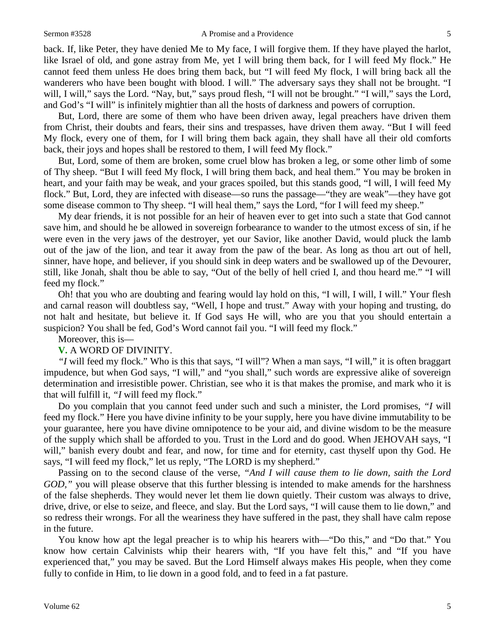back. If, like Peter, they have denied Me to My face, I will forgive them. If they have played the harlot, like Israel of old, and gone astray from Me, yet I will bring them back, for I will feed My flock." He cannot feed them unless He does bring them back, but "I will feed My flock, I will bring back all the wanderers who have been bought with blood. I will." The adversary says they shall not be brought. "I will, I will," says the Lord. "Nay, but," says proud flesh, "I will not be brought." "I will," says the Lord, and God's "I will" is infinitely mightier than all the hosts of darkness and powers of corruption.

But, Lord, there are some of them who have been driven away, legal preachers have driven them from Christ, their doubts and fears, their sins and trespasses, have driven them away. "But I will feed My flock, every one of them, for I will bring them back again, they shall have all their old comforts back, their joys and hopes shall be restored to them, I will feed My flock."

But, Lord, some of them are broken, some cruel blow has broken a leg, or some other limb of some of Thy sheep. "But I will feed My flock, I will bring them back, and heal them." You may be broken in heart, and your faith may be weak, and your graces spoiled, but this stands good, "I will, I will feed My flock." But, Lord, they are infected with disease—so runs the passage—"they are weak"—they have got some disease common to Thy sheep. "I will heal them," says the Lord, "for I will feed my sheep."

My dear friends, it is not possible for an heir of heaven ever to get into such a state that God cannot save him, and should he be allowed in sovereign forbearance to wander to the utmost excess of sin, if he were even in the very jaws of the destroyer, yet our Savior, like another David, would pluck the lamb out of the jaw of the lion, and tear it away from the paw of the bear. As long as thou art out of hell, sinner, have hope, and believer, if you should sink in deep waters and be swallowed up of the Devourer, still, like Jonah, shalt thou be able to say, "Out of the belly of hell cried I, and thou heard me." "I will feed my flock."

Oh! that you who are doubting and fearing would lay hold on this, "I will, I will, I will." Your flesh and carnal reason will doubtless say, "Well, I hope and trust." Away with your hoping and trusting, do not halt and hesitate, but believe it. If God says He will, who are you that you should entertain a suspicion? You shall be fed, God's Word cannot fail you. "I will feed my flock."

#### Moreover, this is—

#### **V.** A WORD OF DIVINITY.

*"I* will feed my flock." Who is this that says, "I will"? When a man says, "I will," it is often braggart impudence, but when God says, "I will," and "you shall," such words are expressive alike of sovereign determination and irresistible power. Christian, see who it is that makes the promise, and mark who it is that will fulfill it, *"I* will feed my flock."

Do you complain that you cannot feed under such and such a minister, the Lord promises, *"I* will feed my flock." Here you have divine infinity to be your supply, here you have divine immutability to be your guarantee, here you have divine omnipotence to be your aid, and divine wisdom to be the measure of the supply which shall be afforded to you. Trust in the Lord and do good. When JEHOVAH says, "I will," banish every doubt and fear, and now, for time and for eternity, cast thyself upon thy God. He says, "I will feed my flock," let us reply, "The LORD is my shepherd."

Passing on to the second clause of the verse, *"And I will cause them to lie down, saith the Lord GOD,*" you will please observe that this further blessing is intended to make amends for the harshness of the false shepherds. They would never let them lie down quietly. Their custom was always to drive, drive, drive, or else to seize, and fleece, and slay. But the Lord says, "I will cause them to lie down," and so redress their wrongs. For all the weariness they have suffered in the past, they shall have calm repose in the future.

You know how apt the legal preacher is to whip his hearers with—"Do this," and "Do that." You know how certain Calvinists whip their hearers with, "If you have felt this," and "If you have experienced that," you may be saved. But the Lord Himself always makes His people, when they come fully to confide in Him, to lie down in a good fold, and to feed in a fat pasture.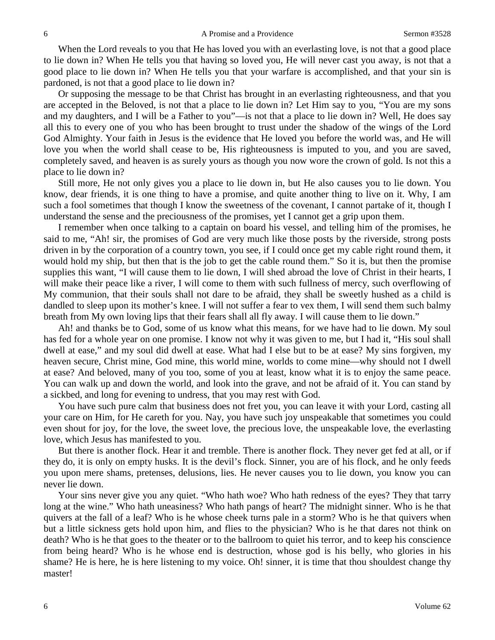When the Lord reveals to you that He has loved you with an everlasting love, is not that a good place to lie down in? When He tells you that having so loved you, He will never cast you away, is not that a good place to lie down in? When He tells you that your warfare is accomplished, and that your sin is pardoned, is not that a good place to lie down in?

Or supposing the message to be that Christ has brought in an everlasting righteousness, and that you are accepted in the Beloved, is not that a place to lie down in? Let Him say to you, "You are my sons and my daughters, and I will be a Father to you"—is not that a place to lie down in? Well, He does say all this to every one of you who has been brought to trust under the shadow of the wings of the Lord God Almighty. Your faith in Jesus is the evidence that He loved you before the world was, and He will love you when the world shall cease to be, His righteousness is imputed to you, and you are saved, completely saved, and heaven is as surely yours as though you now wore the crown of gold. Is not this a place to lie down in?

Still more, He not only gives you a place to lie down in, but He also causes you to lie down. You know, dear friends, it is one thing to have a promise, and quite another thing to live on it. Why, I am such a fool sometimes that though I know the sweetness of the covenant, I cannot partake of it, though I understand the sense and the preciousness of the promises, yet I cannot get a grip upon them.

I remember when once talking to a captain on board his vessel, and telling him of the promises, he said to me, "Ah! sir, the promises of God are very much like those posts by the riverside, strong posts driven in by the corporation of a country town, you see, if I could once get my cable right round them, it would hold my ship, but then that is the job to get the cable round them." So it is, but then the promise supplies this want, "I will cause them to lie down, I will shed abroad the love of Christ in their hearts, I will make their peace like a river, I will come to them with such fullness of mercy, such overflowing of My communion, that their souls shall not dare to be afraid, they shall be sweetly hushed as a child is dandled to sleep upon its mother's knee. I will not suffer a fear to vex them, I will send them such balmy breath from My own loving lips that their fears shall all fly away. I will cause them to lie down."

Ah! and thanks be to God, some of us know what this means, for we have had to lie down. My soul has fed for a whole year on one promise. I know not why it was given to me, but I had it, "His soul shall dwell at ease," and my soul did dwell at ease. What had I else but to be at ease? My sins forgiven, my heaven secure, Christ mine, God mine, this world mine, worlds to come mine—why should not I dwell at ease? And beloved, many of you too, some of you at least, know what it is to enjoy the same peace. You can walk up and down the world, and look into the grave, and not be afraid of it. You can stand by a sickbed, and long for evening to undress, that you may rest with God.

You have such pure calm that business does not fret you, you can leave it with your Lord, casting all your care on Him, for He careth for you. Nay, you have such joy unspeakable that sometimes you could even shout for joy, for the love, the sweet love, the precious love, the unspeakable love, the everlasting love, which Jesus has manifested to you.

But there is another flock. Hear it and tremble. There is another flock. They never get fed at all, or if they do, it is only on empty husks. It is the devil's flock. Sinner, you are of his flock, and he only feeds you upon mere shams, pretenses, delusions, lies. He never causes you to lie down, you know you can never lie down.

Your sins never give you any quiet. "Who hath woe? Who hath redness of the eyes? They that tarry long at the wine." Who hath uneasiness? Who hath pangs of heart? The midnight sinner. Who is he that quivers at the fall of a leaf? Who is he whose cheek turns pale in a storm? Who is he that quivers when but a little sickness gets hold upon him, and flies to the physician? Who is he that dares not think on death? Who is he that goes to the theater or to the ballroom to quiet his terror, and to keep his conscience from being heard? Who is he whose end is destruction, whose god is his belly, who glories in his shame? He is here, he is here listening to my voice. Oh! sinner, it is time that thou shouldest change thy master!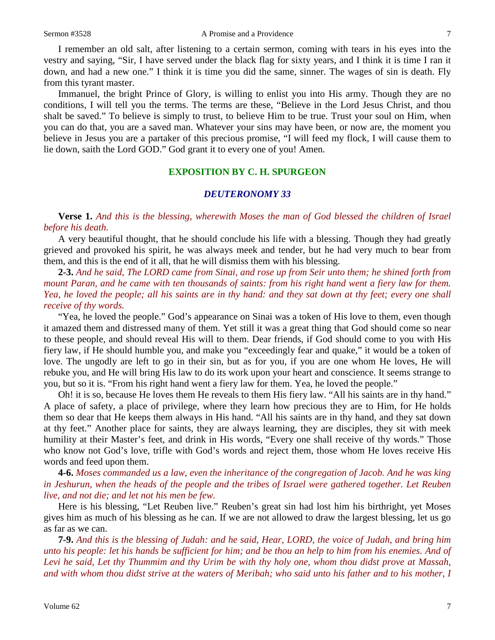I remember an old salt, after listening to a certain sermon, coming with tears in his eyes into the vestry and saying, "Sir, I have served under the black flag for sixty years, and I think it is time I ran it down, and had a new one." I think it is time you did the same, sinner. The wages of sin is death. Fly from this tyrant master.

Immanuel, the bright Prince of Glory, is willing to enlist you into His army. Though they are no conditions, I will tell you the terms. The terms are these, "Believe in the Lord Jesus Christ, and thou shalt be saved." To believe is simply to trust, to believe Him to be true. Trust your soul on Him, when you can do that, you are a saved man. Whatever your sins may have been, or now are, the moment you believe in Jesus you are a partaker of this precious promise, "I will feed my flock, I will cause them to lie down, saith the Lord GOD." God grant it to every one of you! Amen.

#### **EXPOSITION BY C. H. SPURGEON**

#### *DEUTERONOMY 33*

**Verse 1.** *And this is the blessing, wherewith Moses the man of God blessed the children of Israel before his death.* 

A very beautiful thought, that he should conclude his life with a blessing. Though they had greatly grieved and provoked his spirit, he was always meek and tender, but he had very much to bear from them, and this is the end of it all, that he will dismiss them with his blessing.

**2-3.** *And he said, The LORD came from Sinai, and rose up from Seir unto them; he shined forth from mount Paran, and he came with ten thousands of saints: from his right hand went a fiery law for them. Yea, he loved the people; all his saints are in thy hand: and they sat down at thy feet; every one shall receive of thy words.* 

"Yea, he loved the people." God's appearance on Sinai was a token of His love to them, even though it amazed them and distressed many of them. Yet still it was a great thing that God should come so near to these people, and should reveal His will to them. Dear friends, if God should come to you with His fiery law, if He should humble you, and make you "exceedingly fear and quake," it would be a token of love. The ungodly are left to go in their sin, but as for you, if you are one whom He loves, He will rebuke you, and He will bring His law to do its work upon your heart and conscience. It seems strange to you, but so it is. "From his right hand went a fiery law for them. Yea, he loved the people."

Oh! it is so, because He loves them He reveals to them His fiery law. "All his saints are in thy hand." A place of safety, a place of privilege, where they learn how precious they are to Him, for He holds them so dear that He keeps them always in His hand. "All his saints are in thy hand, and they sat down at thy feet." Another place for saints, they are always learning, they are disciples, they sit with meek humility at their Master's feet, and drink in His words, "Every one shall receive of thy words." Those who know not God's love, trifle with God's words and reject them, those whom He loves receive His words and feed upon them.

**4-6.** *Moses commanded us a law, even the inheritance of the congregation of Jacob. And he was king in Jeshurun, when the heads of the people and the tribes of Israel were gathered together. Let Reuben live, and not die; and let not his men be few.* 

Here is his blessing, "Let Reuben live." Reuben's great sin had lost him his birthright, yet Moses gives him as much of his blessing as he can. If we are not allowed to draw the largest blessing, let us go as far as we can.

**7-9.** *And this is the blessing of Judah: and he said, Hear, LORD, the voice of Judah, and bring him unto his people: let his hands be sufficient for him; and be thou an help to him from his enemies. And of Levi he said, Let thy Thummim and thy Urim be with thy holy one, whom thou didst prove at Massah, and with whom thou didst strive at the waters of Meribah; who said unto his father and to his mother, I*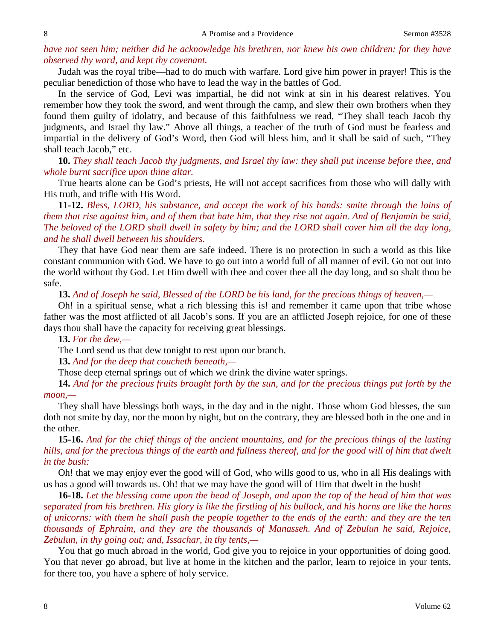# *have not seen him; neither did he acknowledge his brethren, nor knew his own children: for they have observed thy word, and kept thy covenant.*

Judah was the royal tribe—had to do much with warfare. Lord give him power in prayer! This is the peculiar benediction of those who have to lead the way in the battles of God.

In the service of God, Levi was impartial, he did not wink at sin in his dearest relatives. You remember how they took the sword, and went through the camp, and slew their own brothers when they found them guilty of idolatry, and because of this faithfulness we read, "They shall teach Jacob thy judgments, and Israel thy law." Above all things, a teacher of the truth of God must be fearless and impartial in the delivery of God's Word, then God will bless him, and it shall be said of such, "They shall teach Jacob," etc.

**10.** *They shall teach Jacob thy judgments, and Israel thy law: they shall put incense before thee, and whole burnt sacrifice upon thine altar.* 

True hearts alone can be God's priests, He will not accept sacrifices from those who will dally with His truth, and trifle with His Word.

**11-12.** *Bless, LORD, his substance, and accept the work of his hands: smite through the loins of them that rise against him, and of them that hate him, that they rise not again. And of Benjamin he said, The beloved of the LORD shall dwell in safety by him; and the LORD shall cover him all the day long, and he shall dwell between his shoulders.* 

They that have God near them are safe indeed. There is no protection in such a world as this like constant communion with God. We have to go out into a world full of all manner of evil. Go not out into the world without thy God. Let Him dwell with thee and cover thee all the day long, and so shalt thou be safe.

**13.** *And of Joseph he said, Blessed of the LORD be his land, for the precious things of heaven,—*

Oh! in a spiritual sense, what a rich blessing this is! and remember it came upon that tribe whose father was the most afflicted of all Jacob's sons. If you are an afflicted Joseph rejoice, for one of these days thou shall have the capacity for receiving great blessings.

**13.** *For the dew,—*

The Lord send us that dew tonight to rest upon our branch.

**13.** *And for the deep that coucheth beneath,—*

Those deep eternal springs out of which we drink the divine water springs.

**14.** *And for the precious fruits brought forth by the sun, and for the precious things put forth by the moon,—*

They shall have blessings both ways, in the day and in the night. Those whom God blesses, the sun doth not smite by day, nor the moon by night, but on the contrary, they are blessed both in the one and in the other.

**15-16.** *And for the chief things of the ancient mountains, and for the precious things of the lasting hills, and for the precious things of the earth and fullness thereof, and for the good will of him that dwelt in the bush:*

Oh! that we may enjoy ever the good will of God, who wills good to us, who in all His dealings with us has a good will towards us. Oh! that we may have the good will of Him that dwelt in the bush!

**16-18.** *Let the blessing come upon the head of Joseph, and upon the top of the head of him that was separated from his brethren. His glory is like the firstling of his bullock, and his horns are like the horns of unicorns: with them he shall push the people together to the ends of the earth: and they are the ten thousands of Ephraim, and they are the thousands of Manasseh. And of Zebulun he said, Rejoice, Zebulun, in thy going out; and, Issachar, in thy tents,—*

You that go much abroad in the world, God give you to rejoice in your opportunities of doing good. You that never go abroad, but live at home in the kitchen and the parlor, learn to rejoice in your tents, for there too, you have a sphere of holy service.